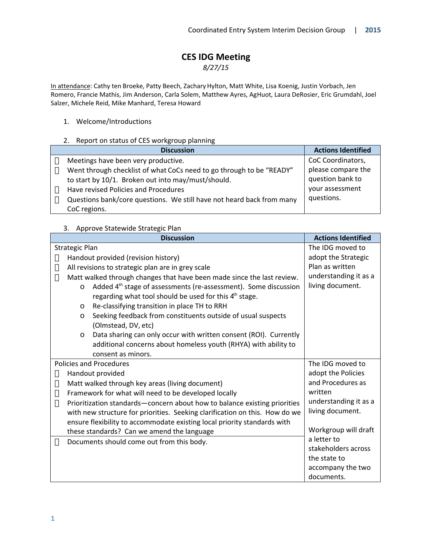# **CES IDG Meeting**

*8/27/15*

In attendance: Cathy ten Broeke, Patty Beech, Zachary Hylton, Matt White, Lisa Koenig, Justin Vorbach, Jen Romero, Francie Mathis, Jim Anderson, Carla Solem, Matthew Ayres, Ag Huot, Laura DeRosier, Eric Grumdahl, Joel Salzer, Michele Reid, Mike Manhard, Teresa Howard

#### 1. Welcome/Introductions

#### 2. Report on status of CES workgroup planning

| <b>Discussion</b>                                                     | <b>Actions Identified</b> |
|-----------------------------------------------------------------------|---------------------------|
| Meetings have been very productive.                                   | CoC Coordinators,         |
| Went through checklist of what CoCs need to go through to be "READY"  | please compare the        |
| to start by 10/1. Broken out into may/must/should.                    | question bank to          |
| Have revised Policies and Procedures                                  | your assessment           |
| Questions bank/core questions. We still have not heard back from many | questions.                |
| CoC regions.                                                          |                           |

#### 3. Approve Statewide Strategic Plan

| <b>Discussion</b>                                                                      | <b>Actions Identified</b> |
|----------------------------------------------------------------------------------------|---------------------------|
| <b>Strategic Plan</b>                                                                  | The IDG moved to          |
| Handout provided (revision history)                                                    | adopt the Strategic       |
| All revisions to strategic plan are in grey scale                                      | Plan as written           |
| Matt walked through changes that have been made since the last review.                 | understanding it as a     |
| Added 4 <sup>th</sup> stage of assessments (re-assessment). Some discussion<br>$\circ$ | living document.          |
| regarding what tool should be used for this 4 <sup>th</sup> stage.                     |                           |
| Re-classifying transition in place TH to RRH<br>$\circ$                                |                           |
| Seeking feedback from constituents outside of usual suspects<br>$\circ$                |                           |
| (Olmstead, DV, etc)                                                                    |                           |
| Data sharing can only occur with written consent (ROI). Currently<br>$\circ$           |                           |
| additional concerns about homeless youth (RHYA) with ability to                        |                           |
| consent as minors.                                                                     |                           |
| <b>Policies and Procedures</b>                                                         | The IDG moved to          |
| Handout provided                                                                       | adopt the Policies        |
| Matt walked through key areas (living document)                                        | and Procedures as         |
| Framework for what will need to be developed locally                                   | written                   |
| Prioritization standards-concern about how to balance existing priorities              | understanding it as a     |
| with new structure for priorities. Seeking clarification on this. How do we            | living document.          |
| ensure flexibility to accommodate existing local priority standards with               |                           |
| these standards? Can we amend the language                                             | Workgroup will draft      |
| Documents should come out from this body.                                              | a letter to               |
|                                                                                        | stakeholders across       |
|                                                                                        | the state to              |
|                                                                                        | accompany the two         |
|                                                                                        | documents.                |